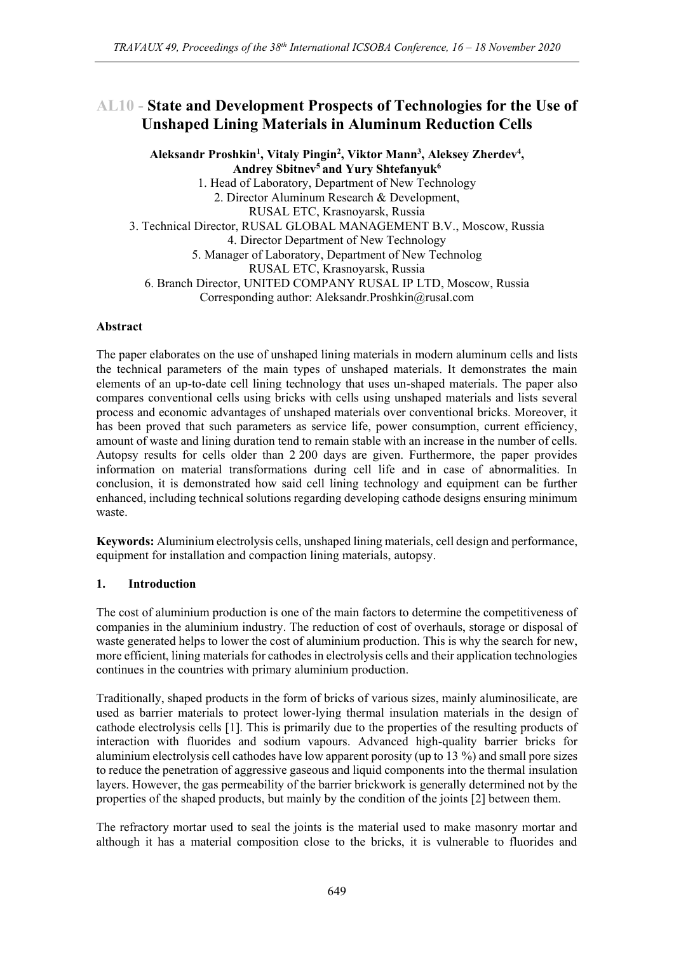# **AL10 - State and Development Prospects of Technologies for the Use of Unshaped Lining Materials in Aluminum Reduction Cells**

**Aleksandr Proshkin<sup>1</sup> , Vitaly Pingin<sup>2</sup> , Viktor Mann<sup>3</sup> , Aleksey Zherdev<sup>4</sup> , Andrey Sbitnev<sup>5</sup> and Yury Shtefanyuk<sup>6</sup>** 1. Head of Laboratory, Department of New Technology 2. Director Aluminum Research & Development, RUSAL ETC, Krasnoyarsk, Russia 3. Technical Director, RUSAL GLOBAL MANAGEMENT В.V., Moscow, Russia 4. Director Department of New Technology 5. Manager of Laboratory, Department of New Technolog RUSAL ETC, Krasnoyarsk, Russia 6. Branch Director, UNITED COMPANY RUSAL IP LTD, Moscow, Russia Corresponding author: Aleksandr.Proshkin@rusal.com

### **Abstract**

The paper elaborates on the use of unshaped lining materials in modern aluminum cells and lists the technical parameters of the main types of unshaped materials. It demonstrates the main elements of an up-to-date cell lining technology that uses un-shaped materials. The paper also compares conventional cells using bricks with cells using unshaped materials and lists several process and economic advantages of unshaped materials over conventional bricks. Moreover, it has been proved that such parameters as service life, power consumption, current efficiency, amount of waste and lining duration tend to remain stable with an increase in the number of cells. Autopsy results for cells older than 2 200 days are given. Furthermore, the paper provides information on material transformations during cell life and in case of abnormalities. In conclusion, it is demonstrated how said cell lining technology and equipment can be further enhanced, including technical solutions regarding developing cathode designs ensuring minimum waste.

**Keywords:** Aluminium electrolysis cells, unshaped lining materials, cell design and performance, equipment for installation and compaction lining materials, autopsy.

#### **1. Introduction**

The cost of aluminium production is one of the main factors to determine the competitiveness of companies in the aluminium industry. The reduction of cost of overhauls, storage or disposal of waste generated helps to lower the cost of aluminium production. This is why the search for new, more efficient, lining materials for cathodes in electrolysis cells and their application technologies continues in the countries with primary aluminium production.

Traditionally, shaped products in the form of bricks of various sizes, mainly aluminosilicate, are used as barrier materials to protect lower-lying thermal insulation materials in the design of cathode electrolysis cells [1]. This is primarily due to the properties of the resulting products of interaction with fluorides and sodium vapours. Advanced high-quality barrier bricks for aluminium electrolysis cell cathodes have low apparent porosity (up to 13 %) and small pore sizes to reduce the penetration of aggressive gaseous and liquid components into the thermal insulation layers. However, the gas permeability of the barrier brickwork is generally determined not by the properties of the shaped products, but mainly by the condition of the joints [2] between them.

The refractory mortar used to seal the joints is the material used to make masonry mortar and although it has a material composition close to the bricks, it is vulnerable to fluorides and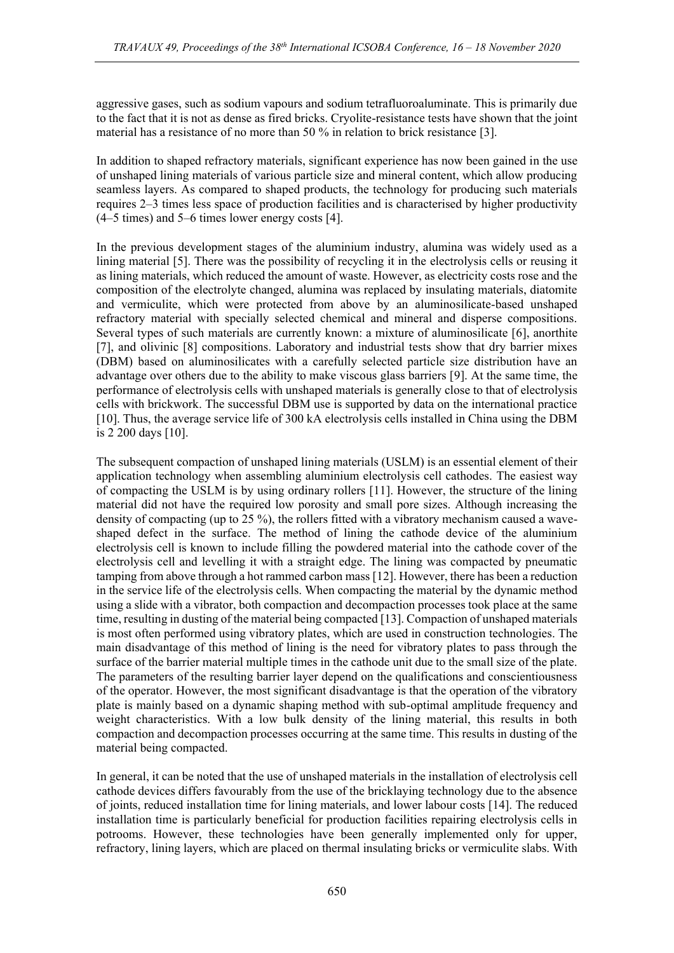aggressive gases, such as sodium vapours and sodium tetrafluoroaluminate. This is primarily due to the fact that it is not as dense as fired bricks. Cryolite-resistance tests have shown that the joint material has a resistance of no more than 50 % in relation to brick resistance [3].

In addition to shaped refractory materials, significant experience has now been gained in the use of unshaped lining materials of various particle size and mineral content, which allow producing seamless layers. As compared to shaped products, the technology for producing such materials requires 2–3 times less space of production facilities and is characterised by higher productivity (4–5 times) and 5–6 times lower energy costs [4].

In the previous development stages of the aluminium industry, alumina was widely used as a lining material [5]. There was the possibility of recycling it in the electrolysis cells or reusing it as lining materials, which reduced the amount of waste. However, as electricity costs rose and the composition of the electrolyte changed, alumina was replaced by insulating materials, diatomite and vermiculite, which were protected from above by an aluminosilicate-based unshaped refractory material with specially selected chemical and mineral and disperse compositions. Several types of such materials are currently known: a mixture of aluminosilicate [6], anorthite [7], and olivinic [8] compositions. Laboratory and industrial tests show that dry barrier mixes (DBM) based on aluminosilicates with a carefully selected particle size distribution have an advantage over others due to the ability to make viscous glass barriers [9]. At the same time, the performance of electrolysis cells with unshaped materials is generally close to that of electrolysis cells with brickwork. The successful DBM use is supported by data on the international practice [10]. Thus, the average service life of 300 kA electrolysis cells installed in China using the DBM is 2 200 days [10].

The subsequent compaction of unshaped lining materials (USLM) is an essential element of their application technology when assembling aluminium electrolysis cell cathodes. The easiest way of compacting the USLM is by using ordinary rollers [11]. However, the structure of the lining material did not have the required low porosity and small pore sizes. Although increasing the density of compacting (up to 25 %), the rollers fitted with a vibratory mechanism caused a waveshaped defect in the surface. The method of lining the cathode device of the aluminium electrolysis cell is known to include filling the powdered material into the cathode cover of the electrolysis cell and levelling it with a straight edge. The lining was compacted by pneumatic tamping from above through a hot rammed carbon mass [12]. However, there has been a reduction in the service life of the electrolysis cells. When compacting the material by the dynamic method using a slide with a vibrator, both compaction and decompaction processes took place at the same time, resulting in dusting of the material being compacted [13]. Compaction of unshaped materials is most often performed using vibratory plates, which are used in construction technologies. The main disadvantage of this method of lining is the need for vibratory plates to pass through the surface of the barrier material multiple times in the cathode unit due to the small size of the plate. The parameters of the resulting barrier layer depend on the qualifications and conscientiousness of the operator. However, the most significant disadvantage is that the operation of the vibratory plate is mainly based on a dynamic shaping method with sub-optimal amplitude frequency and weight characteristics. With a low bulk density of the lining material, this results in both compaction and decompaction processes occurring at the same time. This results in dusting of the material being compacted.

In general, it can be noted that the use of unshaped materials in the installation of electrolysis cell cathode devices differs favourably from the use of the bricklaying technology due to the absence of joints, reduced installation time for lining materials, and lower labour costs [14]. The reduced installation time is particularly beneficial for production facilities repairing electrolysis cells in potrooms. However, these technologies have been generally implemented only for upper, refractory, lining layers, which are placed on thermal insulating bricks or vermiculite slabs. With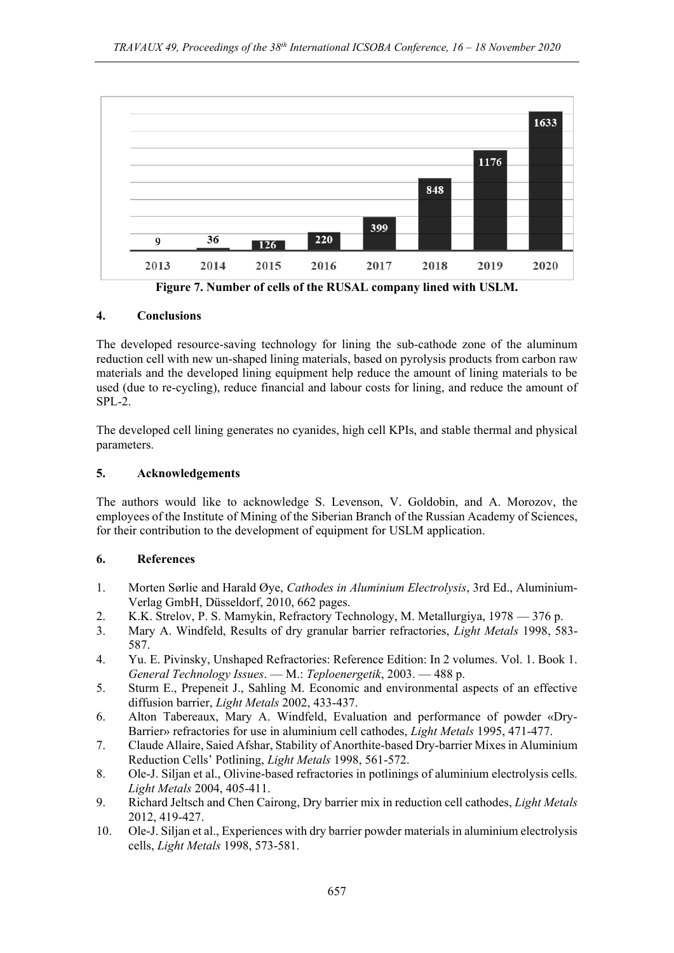

**Figure 7. Number of cells of the RUSAL company lined with USLM.**

# **4. Conclusions**

The developed resource-saving technology for lining the sub-cathode zone of the aluminum reduction cell with new un-shaped lining materials, based on pyrolysis products from carbon raw materials and the developed lining equipment help reduce the amount of lining materials to be used (due to re-cycling), reduce financial and labour costs for lining, and reduce the amount of  $SPI - 2$ .

The developed cell lining generates no cyanides, high cell KPIs, and stable thermal and physical parameters.

## **5. Acknowledgements**

The authors would like to acknowledge S. Levenson, V. Goldobin, and A. Morozov, the employees of the Institute of Mining of the Siberian Branch of the Russian Academy of Sciences, for their contribution to the development of equipment for USLM application.

### **6. References**

- 1. Morten Sørlie and Harald Øye, *Cathodes in Aluminium Electrolysis*, 3rd Ed., Aluminium-Verlag GmbH, Düsseldorf, 2010, 662 pages.
- 2. K.K. Strelov, P. S. Mamykin, Refractory Technology, M. Metallurgiya, 1978 376 p.
- 3. Mary A. Windfeld, Results of dry granular barrier refractories, *Light Metals* 1998, 583- 587.
- 4. Yu. E. Pivinsky, Unshaped Refractories: Reference Edition: In 2 volumes. Vol. 1. Book 1. *General Technology Issues*. — M.: *Teploenergetik*, 2003. — 488 p.
- 5. Sturm E., Prepeneit J., Sahling M. Economic and environmental aspects of an effective diffusion barrier, *Light Metals* 2002, 433-437.
- 6. Alton Tabereaux, Mary A. Windfeld, Evaluation and performance of powder «Dry-Barrier» refractories for use in aluminium cell cathodes, *Light Metals* 1995, 471-477.
- 7. Claude Allaire, Saied Afshar, Stability of Anorthite-based Dry-barrier Mixes in Aluminium Reduction Cells' Potlining, *Light Metals* 1998, 561-572.
- 8. Ole-J. Siljan et al., Olivine-based refractories in potlinings of aluminium electrolysis cells. *Light Metals* 2004, 405-411.
- 9. Richard Jeltsch and Chen Cairong, Dry barrier mix in reduction cell cathodes, *Light Metals* 2012, 419-427.
- 10. Ole-J. Siljan et al., Experiences with dry barrier powder materials in aluminium electrolysis cells, *Light Metals* 1998, 573-581.